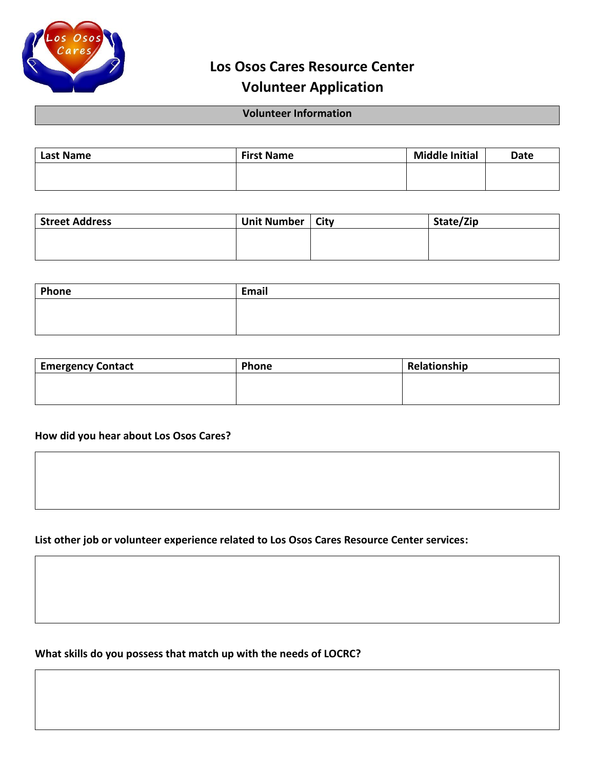

## **Los Osos Cares Resource Center Volunteer Application**

## **Volunteer Information**

| <b>Last Name</b> | <b>First Name</b> | <b>Middle Initial</b> | <b>Date</b> |
|------------------|-------------------|-----------------------|-------------|
|                  |                   |                       |             |
|                  |                   |                       |             |

| <b>Street Address</b> | Unit Number   City | State/Zip |
|-----------------------|--------------------|-----------|
|                       |                    |           |
|                       |                    |           |

| Phone | Email |
|-------|-------|
|       |       |
|       |       |

| <b>Emergency Contact</b> | Phone | Relationship |  |  |
|--------------------------|-------|--------------|--|--|
|                          |       |              |  |  |
|                          |       |              |  |  |

## **How did you hear about Los Osos Cares?**

**List other job or volunteer experience related to Los Osos Cares Resource Center services:**

**What skills do you possess that match up with the needs of LOCRC?**